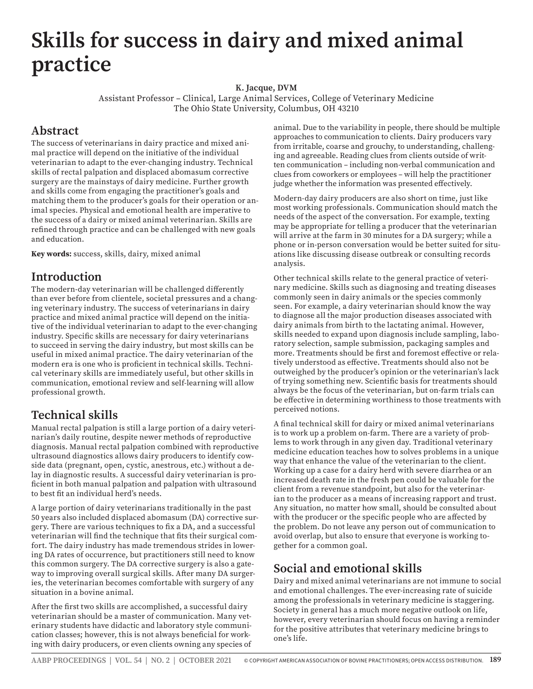# **Skills for success in dairy and mixed animal practice**

**K. Jacque, DVM**

Assistant Professor – Clinical, Large Animal Services, College of Veterinary Medicine The Ohio State University, Columbus, OH 43210

#### **Abstract**

The success of veterinarians in dairy practice and mixed animal practice will depend on the initiative of the individual veterinarian to adapt to the ever-changing industry. Technical skills of rectal palpation and displaced abomasum corrective surgery are the mainstays of dairy medicine. Further growth and skills come from engaging the practitioner's goals and matching them to the producer's goals for their operation or animal species. Physical and emotional health are imperative to the success of a dairy or mixed animal veterinarian. Skills are refined through practice and can be challenged with new goals and education.

**Key words:** success, skills, dairy, mixed animal

### **Introduction**

The modern-day veterinarian will be challenged differently than ever before from clientele, societal pressures and a changing veterinary industry. The success of veterinarians in dairy practice and mixed animal practice will depend on the initiative of the individual veterinarian to adapt to the ever-changing industry. Specific skills are necessary for dairy veterinarians to succeed in serving the dairy industry, but most skills can be useful in mixed animal practice. The dairy veterinarian of the modern era is one who is proficient in technical skills. Technical veterinary skills are immediately useful, but other skills in communication, emotional review and self-learning will allow professional growth.

## **Technical skills**

Manual rectal palpation is still a large portion of a dairy veterinarian's daily routine, despite newer methods of reproductive diagnosis. Manual rectal palpation combined with reproductive ultrasound diagnostics allows dairy producers to identify cowside data (pregnant, open, cystic, anestrous, etc.) without a delay in diagnostic results. A successful dairy veterinarian is proficient in both manual palpation and palpation with ultrasound to best fit an individual herd's needs.

A large portion of dairy veterinarians traditionally in the past 50 years also included displaced abomasum (DA) corrective surgery. There are various techniques to fix a DA, and a successful veterinarian will find the technique that fits their surgical comfort. The dairy industry has made tremendous strides in lowering DA rates of occurrence, but practitioners still need to know this common surgery. The DA corrective surgery is also a gateway to improving overall surgical skills. After many DA surgeries, the veterinarian becomes comfortable with surgery of any situation in a bovine animal.

After the first two skills are accomplished, a successful dairy veterinarian should be a master of communication. Many veterinary students have didactic and laboratory style communication classes; however, this is not always beneficial for working with dairy producers, or even clients owning any species of animal. Due to the variability in people, there should be multiple approaches to communication to clients. Dairy producers vary from irritable, coarse and grouchy, to understanding, challenging and agreeable. Reading clues from clients outside of written communication – including non-verbal communication and clues from coworkers or employees – will help the practitioner judge whether the information was presented effectively.

Modern-day dairy producers are also short on time, just like most working professionals. Communication should match the needs of the aspect of the conversation. For example, texting may be appropriate for telling a producer that the veterinarian will arrive at the farm in 30 minutes for a DA surgery; while a phone or in-person conversation would be better suited for situations like discussing disease outbreak or consulting records analysis.

Other technical skills relate to the general practice of veterinary medicine. Skills such as diagnosing and treating diseases commonly seen in dairy animals or the species commonly seen. For example, a dairy veterinarian should know the way to diagnose all the major production diseases associated with dairy animals from birth to the lactating animal. However, skills needed to expand upon diagnosis include sampling, laboratory selection, sample submission, packaging samples and more. Treatments should be first and foremost effective or relatively understood as effective. Treatments should also not be outweighed by the producer's opinion or the veterinarian's lack of trying something new. Scientific basis for treatments should always be the focus of the veterinarian, but on-farm trials can be effective in determining worthiness to those treatments with perceived notions.

A final technical skill for dairy or mixed animal veterinarians is to work up a problem on-farm. There are a variety of problems to work through in any given day. Traditional veterinary medicine education teaches how to solves problems in a unique way that enhance the value of the veterinarian to the client. Working up a case for a dairy herd with severe diarrhea or an increased death rate in the fresh pen could be valuable for the client from a revenue standpoint, but also for the veterinarian to the producer as a means of increasing rapport and trust. Any situation, no matter how small, should be consulted about with the producer or the specific people who are affected by the problem. Do not leave any person out of communication to avoid overlap, but also to ensure that everyone is working together for a common goal.

## **Social and emotional skills**

Dairy and mixed animal veterinarians are not immune to social and emotional challenges. The ever-increasing rate of suicide among the professionals in veterinary medicine is staggering. Society in general has a much more negative outlook on life, however, every veterinarian should focus on having a reminder for the positive attributes that veterinary medicine brings to one's life.